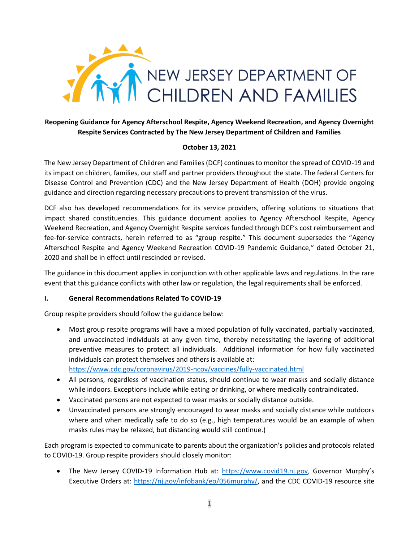

# **Reopening Guidance for Agency Afterschool Respite, Agency Weekend Recreation, and Agency Overnight Respite Services Contracted by The New Jersey Department of Children and Families**

### **October 13, 2021**

The New Jersey Department of Children and Families (DCF) continues to monitor the spread of COVID-19 and its impact on children, families, our staff and partner providers throughout the state. The federal Centers for Disease Control and Prevention (CDC) and the New Jersey Department of Health (DOH) provide ongoing guidance and direction regarding necessary precautions to prevent transmission of the virus.

DCF also has developed recommendations for its service providers, offering solutions to situations that impact shared constituencies. This guidance document applies to Agency Afterschool Respite, Agency Weekend Recreation, and Agency Overnight Respite services funded through DCF's cost reimbursement and fee-for-service contracts, herein referred to as "group respite." This document supersedes the "Agency Afterschool Respite and Agency Weekend Recreation COVID-19 Pandemic Guidance," dated October 21, 2020 and shall be in effect until rescinded or revised.

The guidance in this document applies in conjunction with other applicable laws and regulations. In the rare event that this guidance conflicts with other law or regulation, the legal requirements shall be enforced.

### **I. General Recommendations Related To COVID-19**

Group respite providers should follow the guidance below:

- Most group respite programs will have a mixed population of fully vaccinated, partially vaccinated, and unvaccinated individuals at any given time, thereby necessitating the layering of additional preventive measures to protect all individuals. Additional information for how fully vaccinated individuals can protect themselves and others is available at: <https://www.cdc.gov/coronavirus/2019-ncov/vaccines/fully-vaccinated.html>
	-
- All persons, regardless of vaccination status, should continue to wear masks and socially distance while indoors. Exceptions include while eating or drinking, or where medically contraindicated.
- Vaccinated persons are not expected to wear masks or socially distance outside.
- Unvaccinated persons are strongly encouraged to wear masks and socially distance while outdoors where and when medically safe to do so (e.g., high temperatures would be an example of when masks rules may be relaxed, but distancing would still continue.)

Each program is expected to communicate to parents about the organization's policies and protocols related to COVID-19. Group respite providers should closely monitor:

• The New Jersey COVID-19 Information Hub at: [https://www.covid19.nj.gov](https://www.covid19.nj.gov/), Governor Murphy's Executive Orders at: [https://nj.gov/infobank/eo/056murphy/,](https://nj.gov/infobank/eo/056murphy/) and the CDC COVID-19 resource site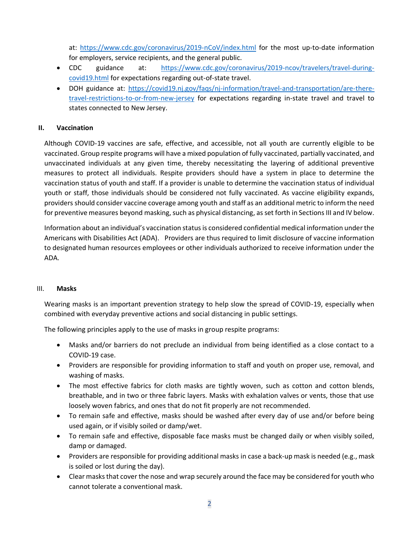at:<https://www.cdc.gov/coronavirus/2019-nCoV/index.html> for the most up-to-date information for employers, service recipients, and the general public.

- CDC guidance at: [https://www.cdc.gov/coronavirus/2019-ncov/travelers/travel-during](https://www.cdc.gov/coronavirus/2019-ncov/travelers/travel-during-covid19.html)[covid19.html](https://www.cdc.gov/coronavirus/2019-ncov/travelers/travel-during-covid19.html) for expectations regarding out-of-state travel.
- DOH guidance at: [https://covid19.nj.gov/faqs/nj-information/travel-and-transportation/are-there](https://covid19.nj.gov/faqs/nj-information/travel-and-transportation/are-there-travel-restrictions-to-or-from-new-jersey)[travel-restrictions-to-or-from-new-jersey](https://covid19.nj.gov/faqs/nj-information/travel-and-transportation/are-there-travel-restrictions-to-or-from-new-jersey) for expectations regarding in-state travel and travel to states connected to New Jersey.

### **II. Vaccination**

Although COVID-19 vaccines are safe, effective, and accessible, not all youth are currently eligible to be vaccinated. Group respite programs will have a mixed population of fully vaccinated, partially vaccinated, and unvaccinated individuals at any given time, thereby necessitating the layering of additional preventive measures to protect all individuals. Respite providers should have a system in place to determine the vaccination status of youth and staff. If a provider is unable to determine the vaccination status of individual youth or staff, those individuals should be considered not fully vaccinated. As vaccine eligibility expands, providers should consider vaccine coverage among youth and staff as an additional metric to inform the need for preventive measures beyond masking, such as physical distancing, as set forth in Sections III and IV below.

Information about an individual's vaccination status is considered confidential medical information under the Americans with Disabilities Act (ADA). Providers are thus required to limit disclosure of vaccine information to designated human resources employees or other individuals authorized to receive information under the ADA.

### III. **Masks**

Wearing masks is an important prevention strategy to help slow the spread of COVID-19, especially when combined with everyday preventive actions and social distancing in public settings.

The following principles apply to the use of masks in group respite programs:

- Masks and/or barriers do not preclude an individual from being identified as a close contact to a COVID-19 case.
- Providers are responsible for providing information to staff and youth on proper use, removal, and washing of masks.
- The most effective fabrics for cloth masks are tightly woven, such as cotton and cotton blends, breathable, and in two or three fabric layers. Masks with exhalation valves or vents, those that use loosely woven fabrics, and ones that do not fit properly are not recommended.
- To remain safe and effective, masks should be washed after every day of use and/or before being used again, or if visibly soiled or damp/wet.
- To remain safe and effective, disposable face masks must be changed daily or when visibly soiled, damp or damaged.
- Providers are responsible for providing additional masks in case a back-up mask is needed (e.g., mask is soiled or lost during the day).
- Clear masks that cover the nose and wrap securely around the face may be considered for youth who cannot tolerate a conventional mask.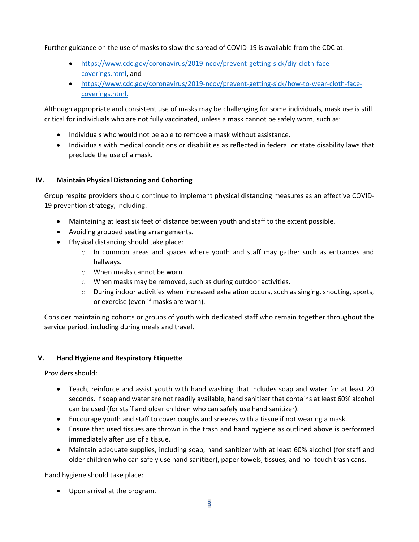Further guidance on the use of masks to slow the spread of COVID-19 is available from the CDC at:

- [https://www.cdc.gov/coronavirus/2019-ncov/prevent-getting-sick/diy-cloth-face](https://www.cdc.gov/coronavirus/2019-ncov/prevent-getting-sick/diy-cloth-face-coverings.html)[coverings.html,](https://www.cdc.gov/coronavirus/2019-ncov/prevent-getting-sick/diy-cloth-face-coverings.html) and
- [https://www.cdc.gov/coronavirus/2019-ncov/prevent-getting-sick/how-to-wear-cloth-face](https://www.cdc.gov/coronavirus/2019-ncov/prevent-getting-sick/how-to-wear-cloth-face-coverings.html)[coverings.html.](https://www.cdc.gov/coronavirus/2019-ncov/prevent-getting-sick/how-to-wear-cloth-face-coverings.html)

Although appropriate and consistent use of masks may be challenging for some individuals, mask use is still critical for individuals who are not fully vaccinated, unless a mask cannot be safely worn, such as:

- Individuals who would not be able to remove a mask without assistance.
- Individuals with medical conditions or disabilities as reflected in federal or state disability laws that preclude the use of a mask.

## **IV. Maintain Physical Distancing and Cohorting**

Group respite providers should continue to implement physical distancing measures as an effective COVID-19 prevention strategy, including:

- Maintaining at least six feet of distance between youth and staff to the extent possible.
- Avoiding grouped seating arrangements.
- Physical distancing should take place:
	- $\circ$  In common areas and spaces where youth and staff may gather such as entrances and hallways.
	- o When masks cannot be worn.
	- o When masks may be removed, such as during outdoor activities.
	- o During indoor activities when increased exhalation occurs, such as singing, shouting, sports, or exercise (even if masks are worn).

Consider maintaining cohorts or groups of youth with dedicated staff who remain together throughout the service period, including during meals and travel.

## **V. Hand Hygiene and Respiratory Etiquette**

Providers should:

- Teach, reinforce and assist youth with hand washing that includes soap and water for at least 20 seconds. If soap and water are not readily available, hand sanitizer that contains at least 60% alcohol can be used (for staff and older children who can safely use hand sanitizer).
- Encourage youth and staff to cover coughs and sneezes with a tissue if not wearing a mask.
- Ensure that used tissues are thrown in the trash and hand hygiene as outlined above is performed immediately after use of a tissue.
- Maintain adequate supplies, including soap, hand sanitizer with at least 60% alcohol (for staff and older children who can safely use hand sanitizer), paper towels, tissues, and no- touch trash cans.

Hand hygiene should take place:

• Upon arrival at the program.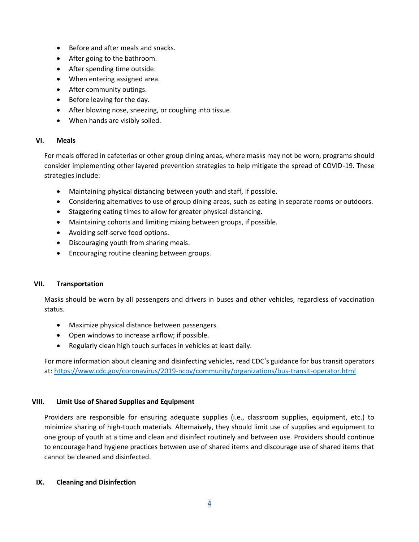- Before and after meals and snacks.
- After going to the bathroom.
- After spending time outside.
- When entering assigned area.
- After community outings.
- Before leaving for the day.
- After blowing nose, sneezing, or coughing into tissue.
- When hands are visibly soiled.

### **VI. Meals**

For meals offered in cafeterias or other group dining areas, where masks may not be worn, programs should consider implementing other layered prevention strategies to help mitigate the spread of COVID-19. These strategies include:

- Maintaining physical distancing between youth and staff, if possible.
- Considering alternatives to use of group dining areas, such as eating in separate rooms or outdoors.
- Staggering eating times to allow for greater physical distancing.
- Maintaining cohorts and limiting mixing between groups, if possible.
- Avoiding self-serve food options.
- Discouraging youth from sharing meals.
- Encouraging routine cleaning between groups.

### **VII. Transportation**

Masks should be worn by all passengers and drivers in buses and other vehicles, regardless of vaccination status.

- Maximize physical distance between passengers.
- Open windows to increase airflow; if possible.
- Regularly clean high touch surfaces in vehicles at least daily.

For more information about cleaning and disinfecting vehicles, read CDC's guidance for bus transit operators at:<https://www.cdc.gov/coronavirus/2019-ncov/community/organizations/bus-transit-operator.html>

### **VIII. Limit Use of Shared Supplies and Equipment**

Providers are responsible for ensuring adequate supplies (i.e., classroom supplies, equipment, etc.) to minimize sharing of high-touch materials. Alternaively, they should limit use of supplies and equipment to one group of youth at a time and clean and disinfect routinely and between use. Providers should continue to encourage hand hygiene practices between use of shared items and discourage use of shared items that cannot be cleaned and disinfected.

### **IX. Cleaning and Disinfection**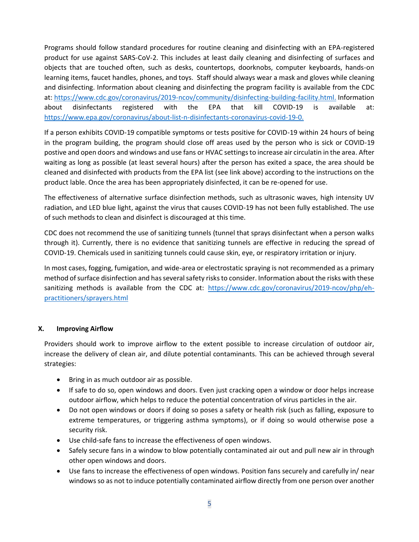Programs should follow standard procedures for routine cleaning and disinfecting with an EPA-registered product for use against SARS-CoV-2. This includes at least daily cleaning and disinfecting of surfaces and objects that are touched often, such as desks, countertops, doorknobs, computer keyboards, hands-on learning items, faucet handles, phones, and toys. Staff should always wear a mask and gloves while cleaning and disinfecting. Information about cleaning and disinfecting the program facility is available from the CDC at: [https://www.cdc.gov/coronavirus/2019-ncov/community/disinfecting-building-facility.html.](https://www.cdc.gov/coronavirus/2019-ncov/community/disinfecting-building-facility.html) Information about disinfectants registered with the EPA that kill COVID-19 is available at: [https://www.epa.gov/coronavirus/about-list-n-disinfectants-coronavirus-covid-19-0.](https://www.epa.gov/coronavirus/about-list-n-disinfectants-coronavirus-covid-19-0)

If a person exhibits COVID-19 compatible symptoms or tests positive for COVID-19 within 24 hours of being in the program building, the program should close off areas used by the person who is sick or COVID-19 postive and open doors and windows and use fans or HVAC settings to increase air circulatin in the area. After waiting as long as possible (at least several hours) after the person has exited a space, the area should be cleaned and disinfected with products from the EPA list (see link above) according to the instructions on the product lable. Once the area has been appropriately disinfected, it can be re-opened for use.

The effectiveness of alternative surface disinfection methods, such as ultrasonic waves, high intensity UV radiation, and LED blue light, against the virus that causes COVID-19 has not been fully established. The use of such methods to clean and disinfect is discouraged at this time.

CDC does not recommend the use of sanitizing tunnels (tunnel that sprays disinfectant when a person walks through it). Currently, there is no evidence that sanitizing tunnels are effective in reducing the spread of COVID-19. Chemicals used in sanitizing tunnels could cause skin, eye, or respiratory irritation or injury.

In most cases, fogging, fumigation, and wide-area or electrostatic spraying is not recommended as a primary method of surface disinfection and has several safety risks to consider. Information about the risks with these sanitizing methods is available from the CDC at: [https://www.cdc.gov/coronavirus/2019-ncov/php/eh](https://www.cdc.gov/coronavirus/2019-ncov/php/eh-practitioners/sprayers.html)[practitioners/sprayers.html](https://www.cdc.gov/coronavirus/2019-ncov/php/eh-practitioners/sprayers.html)

### **X. Improving Airflow**

Providers should work to improve airflow to the extent possible to increase circulation of outdoor air, increase the delivery of clean air, and dilute potential contaminants. This can be achieved through several strategies:

- Bring in as much outdoor air as possible.
- If safe to do so, open windows and doors. Even just cracking open a window or door helps increase outdoor airflow, which helps to reduce the potential concentration of virus particles in the air.
- Do not open windows or doors if doing so poses a safety or health risk (such as falling, exposure to extreme temperatures, or triggering asthma symptoms), or if doing so would otherwise pose a security risk.
- Use child-safe fans to increase the effectiveness of open windows.
- Safely secure fans in a window to blow potentially contaminated air out and pull new air in through other open windows and doors.
- Use fans to increase the effectiveness of open windows. Position fans securely and carefully in/ near windows so as not to induce potentially contaminated airflow directly from one person over another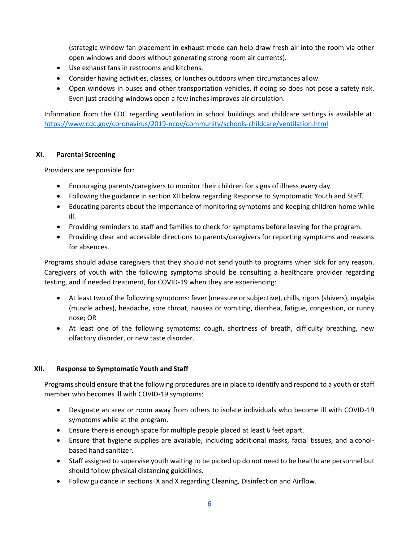(strategic window fan placement in exhaust mode can help draw fresh air into the room via other open windows and doors without generating strong room air currents).

- Use exhaust fans in restrooms and kitchens.
- Consider having activities, classes, or lunches outdoors when circumstances allow.
- Open windows in buses and other transportation vehicles, if doing so does not pose a safety risk. Even just cracking windows open a few inches improves air circulation.

Information from the CDC regarding ventilation in school buildings and childcare settings is available at: <https://www.cdc.gov/coronavirus/2019-ncov/community/schools-childcare/ventilation.html>

### **XI. Parental Screening**

Providers are responsible for:

- Encouraging parents/caregivers to monitor their children for signs of illness every day.
- Following the guidance in section XII below regarding Response to Symptomatic Youth and Staff.
- Educating parents about the importance of monitoring symptoms and keeping children home while ill.
- Providing reminders to staff and families to check for symptoms before leaving for the program.
- Providing clear and accessible directions to parents/caregivers for reporting symptoms and reasons for absences.

Programs should advise caregivers that they should not send youth to programs when sick for any reason. Caregivers of youth with the following symptoms should be consulting a healthcare provider regarding testing, and if needed treatment, for COVID-19 when they are experiencing:

- At least two of the following symptoms: fever (measure or subjective), chills, rigors (shivers), myalgia (muscle aches), headache, sore throat, nausea or vomiting, diarrhea, fatigue, congestion, or runny nose; OR
- At least one of the following symptoms: cough, shortness of breath, difficulty breathing, new olfactory disorder, or new taste disorder.

### **XII. Response to Symptomatic Youth and Staff**

Programs should ensure that the following procedures are in place to identify and respond to a youth or staff member who becomes ill with COVID-19 symptoms:

- Designate an area or room away from others to isolate individuals who become ill with COVID-19 symptoms while at the program.
- Ensure there is enough space for multiple people placed at least 6 feet apart.
- Ensure that hygiene supplies are available, including additional masks, facial tissues, and alcoholbased hand sanitizer.
- Staff assigned to supervise youth waiting to be picked up do not need to be healthcare personnel but should follow physical distancing guidelines.
- Follow guidance in sections IX and X regarding Cleaning, Disinfection and Airflow.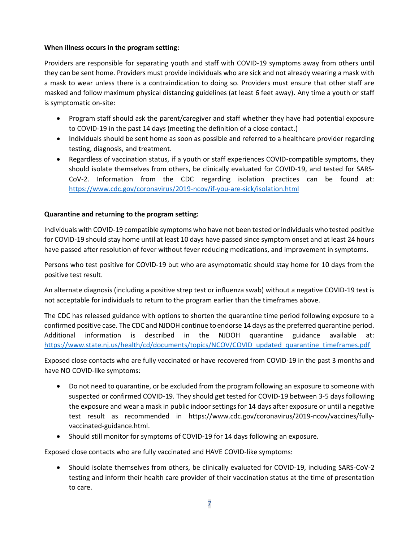### **When illness occurs in the program setting:**

Providers are responsible for separating youth and staff with COVID-19 symptoms away from others until they can be sent home. Providers must provide individuals who are sick and not already wearing a mask with a mask to wear unless there is a contraindication to doing so. Providers must ensure that other staff are masked and follow maximum physical distancing guidelines (at least 6 feet away). Any time a youth or staff is symptomatic on-site:

- Program staff should ask the parent/caregiver and staff whether they have had potential exposure to COVID-19 in the past 14 days (meeting the definition of a close contact.)
- Individuals should be sent home as soon as possible and referred to a healthcare provider regarding testing, diagnosis, and treatment.
- Regardless of vaccination status, if a youth or staff experiences COVID-compatible symptoms, they should isolate themselves from others, be clinically evaluated for COVID-19, and tested for SARS-CoV-2. Information from the CDC regarding isolation practices can be found at: <https://www.cdc.gov/coronavirus/2019-ncov/if-you-are-sick/isolation.html>

## **Quarantine and returning to the program setting:**

Individuals with COVID-19 compatible symptoms who have not been tested or individuals who tested positive for COVID-19 should stay home until at least 10 days have passed since symptom onset and at least 24 hours have passed after resolution of fever without fever reducing medications, and improvement in symptoms.

Persons who test positive for COVID-19 but who are asymptomatic should stay home for 10 days from the positive test result.

An alternate diagnosis (including a positive strep test or influenza swab) without a negative COVID-19 test is not acceptable for individuals to return to the program earlier than the timeframes above.

The CDC has released guidance with options to shorten the quarantine time period following exposure to a confirmed positive case. The CDC and NJDOH continue to endorse 14 days as the preferred quarantine period. Additional information is described in the NJDOH quarantine guidance available at: [https://www.state.nj.us/health/cd/documents/topics/NCOV/COVID\\_updated\\_quarantine\\_timeframes.pdf](https://www.state.nj.us/health/cd/documents/topics/NCOV/COVID_updated_quarantine_timeframes.pdf)

Exposed close contacts who are fully vaccinated or have recovered from COVID-19 in the past 3 months and have NO COVID-like symptoms:

- Do not need to quarantine, or be excluded from the program following an exposure to someone with suspected or confirmed COVID-19. They should get tested for COVID-19 between 3-5 days following the exposure and wear a mask in public indoor settings for 14 days after exposure or until a negative test result as recommended in https://www.cdc.gov/coronavirus/2019-ncov/vaccines/fullyvaccinated-guidance.html.
- Should still monitor for symptoms of COVID-19 for 14 days following an exposure.

Exposed close contacts who are fully vaccinated and HAVE COVID-like symptoms:

• Should isolate themselves from others, be clinically evaluated for COVID-19, including SARS-CoV-2 testing and inform their health care provider of their vaccination status at the time of presentation to care.